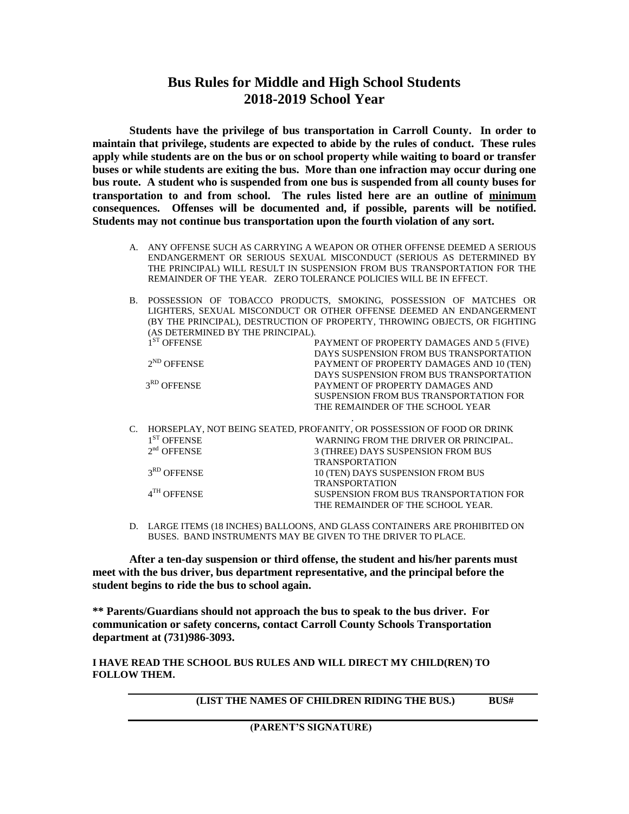## **Bus Rules for Middle and High School Students 2018-2019 School Year**

**Students have the privilege of bus transportation in Carroll County. In order to maintain that privilege, students are expected to abide by the rules of conduct. These rules apply while students are on the bus or on school property while waiting to board or transfer buses or while students are exiting the bus. More than one infraction may occur during one bus route. A student who is suspended from one bus is suspended from all county buses for transportation to and from school. The rules listed here are an outline of minimum consequences. Offenses will be documented and, if possible, parents will be notified. Students may not continue bus transportation upon the fourth violation of any sort.**

- A. ANY OFFENSE SUCH AS CARRYING A WEAPON OR OTHER OFFENSE DEEMED A SERIOUS ENDANGERMENT OR SERIOUS SEXUAL MISCONDUCT (SERIOUS AS DETERMINED BY THE PRINCIPAL) WILL RESULT IN SUSPENSION FROM BUS TRANSPORTATION FOR THE REMAINDER OF THE YEAR. ZERO TOLERANCE POLICIES WILL BE IN EFFECT.
- B. POSSESSION OF TOBACCO PRODUCTS, SMOKING, POSSESSION OF MATCHES OR LIGHTERS, SEXUAL MISCONDUCT OR OTHER OFFENSE DEEMED AN ENDANGERMENT (BY THE PRINCIPAL), DESTRUCTION OF PROPERTY, THROWING OBJECTS, OR FIGHTING (AS DETERMINED BY THE PRINCIPAL). 1<sup>ST</sup> OFFENSE PAYMENT OF PROPERTY DAMAGES AND 5 (FIVE)

|  | <b>UFFENSE</b>          | PAYMENT OF PROPERTY DAMAGES AND 3 (FIVE)                               |
|--|-------------------------|------------------------------------------------------------------------|
|  |                         | DAYS SUSPENSION FROM BUS TRANSPORTATION                                |
|  | $2^{ND}$ OFFENSE        | PAYMENT OF PROPERTY DAMAGES AND 10 (TEN)                               |
|  |                         | DAYS SUSPENSION FROM BUS TRANSPORTATION                                |
|  | 3 <sup>RD</sup> OFFENSE | PAYMENT OF PROPERTY DAMAGES AND                                        |
|  |                         | SUSPENSION FROM BUS TRANSPORTATION FOR                                 |
|  |                         | THE REMAINDER OF THE SCHOOL YEAR                                       |
|  |                         |                                                                        |
|  |                         | HORSEPLAY, NOT BEING SEATED, PROFANITY, OR POSSESSION OF FOOD OR DRINK |
|  | $1ST$ OFFENSE           | WARNING FROM THE DRIVER OR PRINCIPAL.                                  |
|  | $2nd$ OFFENSE           | 3 (THREE) DAYS SUSPENSION FROM BUS                                     |
|  |                         | <b>TRANSPORTATION</b>                                                  |
|  | 3 <sup>RD</sup> OFFENSE | 10 (TEN) DAYS SUSPENSION FROM BUS                                      |
|  |                         | <b>TRANSPORTATION</b>                                                  |
|  | $4^{\text{TH}}$ OFFENSE | SUSPENSION FROM BUS TRANSPORTATION FOR                                 |
|  |                         | THE REMAINDER OF THE SCHOOL YEAR.                                      |

D. LARGE ITEMS (18 INCHES) BALLOONS, AND GLASS CONTAINERS ARE PROHIBITED ON BUSES. BAND INSTRUMENTS MAY BE GIVEN TO THE DRIVER TO PLACE.

**After a ten-day suspension or third offense, the student and his/her parents must meet with the bus driver, bus department representative, and the principal before the student begins to ride the bus to school again.**

**\*\* Parents/Guardians should not approach the bus to speak to the bus driver. For communication or safety concerns, contact Carroll County Schools Transportation department at (731)986-3093.**

**I HAVE READ THE SCHOOL BUS RULES AND WILL DIRECT MY CHILD(REN) TO FOLLOW THEM.**

 **(LIST THE NAMES OF CHILDREN RIDING THE BUS.) BUS#**

 **(PARENT'S SIGNATURE)**